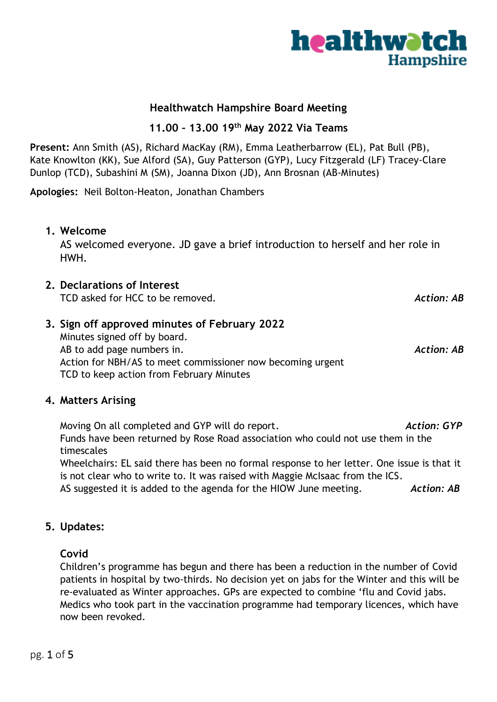# **Healthwatch Hampshire Board Meeting**

**11.00 – 13.00 19 th May 2022 Via Teams**

**Present:** Ann Smith (AS), Richard MacKay (RM), Emma Leatherbarrow (EL), Pat Bull (PB), Kate Knowlton (KK), Sue Alford (SA), Guy Patterson (GYP), Lucy Fitzgerald (LF) Tracey-Clare Dunlop (TCD), Subashini M (SM), Joanna Dixon (JD), Ann Brosnan (AB-Minutes)

**Apologies:** Neil Bolton-Heaton, Jonathan Chambers

## **1. Welcome**

AS welcomed everyone. JD gave a brief introduction to herself and her role in HWH.

**2. Declarations of Interest**

TCD asked for HCC to be removed. **Action: AB** and the set of the set of the set of the set of the set of the set of the set of the set of the set of the set of the set of the set of the set of the set of the set of the set

**3. Sign off approved minutes of February 2022** Minutes signed off by board. AB to add page numbers in. **Action: AB** to add page numbers in. Action for NBH/AS to meet commissioner now becoming urgent TCD to keep action from February Minutes

## **4. Matters Arising**

Moving On all completed and GYP will do report. *Action: GYP* Funds have been returned by Rose Road association who could not use them in the timescales

Wheelchairs: EL said there has been no formal response to her letter. One issue is that it is not clear who to write to. It was raised with Maggie McIsaac from the ICS. AS suggested it is added to the agenda for the HIOW June meeting. **Action: AB** 

## **5. Updates:**

# **Covid**

Children's programme has begun and there has been a reduction in the number of Covid patients in hospital by two-thirds. No decision yet on jabs for the Winter and this will be re-evaluated as Winter approaches. GPs are expected to combine 'flu and Covid jabs. Medics who took part in the vaccination programme had temporary licences, which have now been revoked.

**healthwatch** 

**Hampshire** 

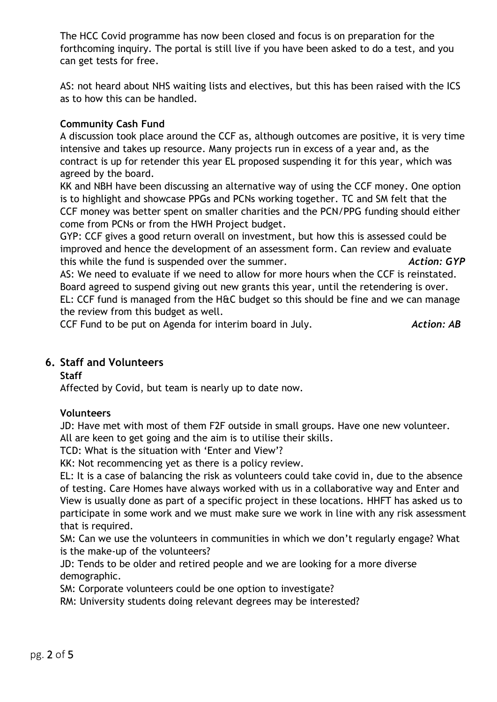The HCC Covid programme has now been closed and focus is on preparation for the forthcoming inquiry. The portal is still live if you have been asked to do a test, and you can get tests for free.

AS: not heard about NHS waiting lists and electives, but this has been raised with the ICS as to how this can be handled.

## **Community Cash Fund**

A discussion took place around the CCF as, although outcomes are positive, it is very time intensive and takes up resource. Many projects run in excess of a year and, as the contract is up for retender this year EL proposed suspending it for this year, which was agreed by the board.

KK and NBH have been discussing an alternative way of using the CCF money. One option is to highlight and showcase PPGs and PCNs working together. TC and SM felt that the CCF money was better spent on smaller charities and the PCN/PPG funding should either come from PCNs or from the HWH Project budget.

GYP: CCF gives a good return overall on investment, but how this is assessed could be improved and hence the development of an assessment form. Can review and evaluate this while the fund is suspended over the summer. *Action: GYP*

AS: We need to evaluate if we need to allow for more hours when the CCF is reinstated. Board agreed to suspend giving out new grants this year, until the retendering is over. EL: CCF fund is managed from the H&C budget so this should be fine and we can manage the review from this budget as well.

CCF Fund to be put on Agenda for interim board in July. **Action: AB** 

# **6. Staff and Volunteers**

**Staff**

Affected by Covid, but team is nearly up to date now.

### **Volunteers**

JD: Have met with most of them F2F outside in small groups. Have one new volunteer. All are keen to get going and the aim is to utilise their skills.

TCD: What is the situation with 'Enter and View'?

KK: Not recommencing yet as there is a policy review.

EL: It is a case of balancing the risk as volunteers could take covid in, due to the absence of testing. Care Homes have always worked with us in a collaborative way and Enter and View is usually done as part of a specific project in these locations. HHFT has asked us to participate in some work and we must make sure we work in line with any risk assessment that is required.

SM: Can we use the volunteers in communities in which we don't regularly engage? What is the make-up of the volunteers?

JD: Tends to be older and retired people and we are looking for a more diverse demographic.

SM: Corporate volunteers could be one option to investigate?

RM: University students doing relevant degrees may be interested?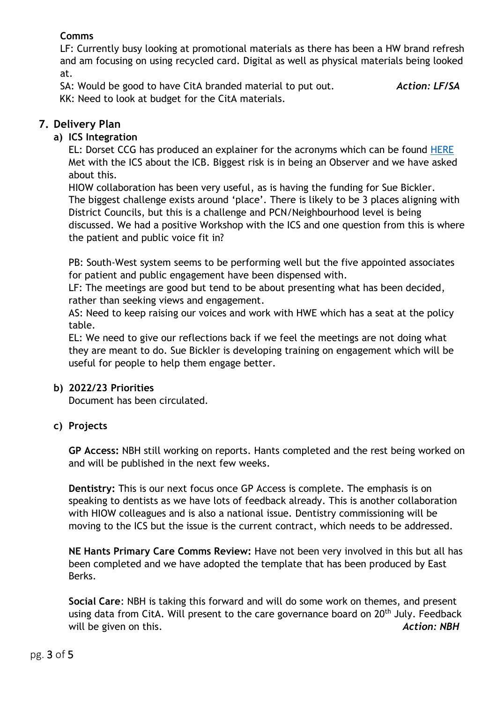# **Comms**

LF: Currently busy looking at promotional materials as there has been a HW brand refresh and am focusing on using recycled card. Digital as well as physical materials being looked at.

SA: Would be good to have CitA branded material to put out. *Action: LF/SA* KK: Need to look at budget for the CitA materials.

# **7. Delivery Plan**

# **a) ICS Integration**

EL: Dorset CCG has produced an explainer for the acronyms which can be found [HERE](https://www.youtube.com/watch?v=4Tjr9xQWufI) Met with the ICS about the ICB. Biggest risk is in being an Observer and we have asked about this.

HIOW collaboration has been very useful, as is having the funding for Sue Bickler. The biggest challenge exists around 'place'. There is likely to be 3 places aligning with District Councils, but this is a challenge and PCN/Neighbourhood level is being discussed. We had a positive Workshop with the ICS and one question from this is where the patient and public voice fit in?

PB: South-West system seems to be performing well but the five appointed associates for patient and public engagement have been dispensed with.

LF: The meetings are good but tend to be about presenting what has been decided, rather than seeking views and engagement.

AS: Need to keep raising our voices and work with HWE which has a seat at the policy table.

EL: We need to give our reflections back if we feel the meetings are not doing what they are meant to do. Sue Bickler is developing training on engagement which will be useful for people to help them engage better.

## **b) 2022/23 Priorities**

Document has been circulated.

# **c) Projects**

**GP Access:** NBH still working on reports. Hants completed and the rest being worked on and will be published in the next few weeks.

**Dentistry:** This is our next focus once GP Access is complete. The emphasis is on speaking to dentists as we have lots of feedback already. This is another collaboration with HIOW colleagues and is also a national issue. Dentistry commissioning will be moving to the ICS but the issue is the current contract, which needs to be addressed.

**NE Hants Primary Care Comms Review:** Have not been very involved in this but all has been completed and we have adopted the template that has been produced by East Berks.

**Social Care**: NBH is taking this forward and will do some work on themes, and present using data from CitA. Will present to the care governance board on 20<sup>th</sup> July. Feedback will be given on this. **Action: NBH**  $\overline{A}$  Action: NBH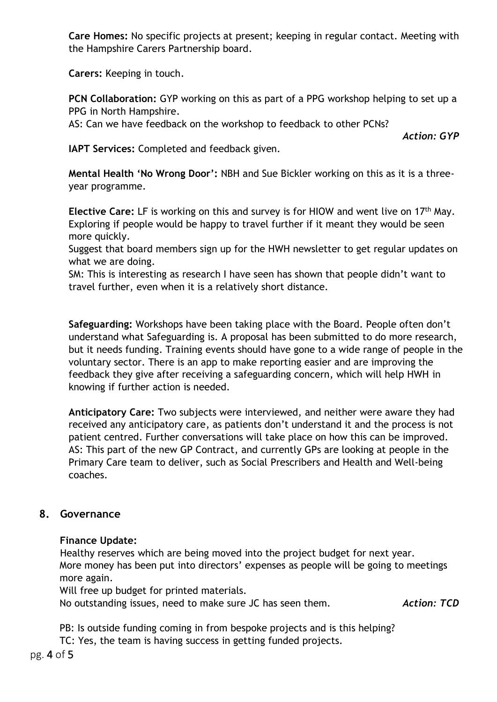**Care Homes:** No specific projects at present; keeping in regular contact. Meeting with the Hampshire Carers Partnership board.

**Carers:** Keeping in touch.

**PCN Collaboration:** GYP working on this as part of a PPG workshop helping to set up a PPG in North Hampshire.

AS: Can we have feedback on the workshop to feedback to other PCNs?

*Action: GYP*

**IAPT Services:** Completed and feedback given.

**Mental Health 'No Wrong Door':** NBH and Sue Bickler working on this as it is a threeyear programme.

**Elective Care:** LF is working on this and survey is for HIOW and went live on 17th May. Exploring if people would be happy to travel further if it meant they would be seen more quickly.

Suggest that board members sign up for the HWH newsletter to get regular updates on what we are doing.

SM: This is interesting as research I have seen has shown that people didn't want to travel further, even when it is a relatively short distance.

**Safeguarding:** Workshops have been taking place with the Board. People often don't understand what Safeguarding is. A proposal has been submitted to do more research, but it needs funding. Training events should have gone to a wide range of people in the voluntary sector. There is an app to make reporting easier and are improving the feedback they give after receiving a safeguarding concern, which will help HWH in knowing if further action is needed.

**Anticipatory Care:** Two subjects were interviewed, and neither were aware they had received any anticipatory care, as patients don't understand it and the process is not patient centred. Further conversations will take place on how this can be improved. AS: This part of the new GP Contract, and currently GPs are looking at people in the Primary Care team to deliver, such as Social Prescribers and Health and Well-being coaches.

# **8. Governance**

## **Finance Update:**

Healthy reserves which are being moved into the project budget for next year. More money has been put into directors' expenses as people will be going to meetings more again.

Will free up budget for printed materials.

No outstanding issues, need to make sure JC has seen them. *Action: TCD*

PB: Is outside funding coming in from bespoke projects and is this helping? TC: Yes, the team is having success in getting funded projects.